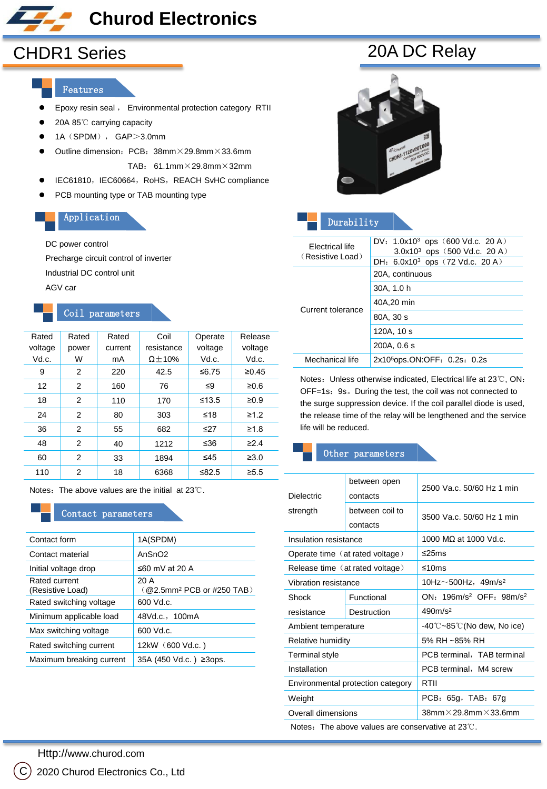# **Churod Electronics**

#### Features

- **Epoxy resin seal**, Environmental protection category RTII
- 20A 85℃ carrying capacity
- $\bullet$  1A (SPDM), GAP>3.0mm
- $\bullet$  Outline dimension: PCB: 38mm $\times$ 29.8mm $\times$ 33.6mm TAB: 61.1mm×29.8mm×32mm
- IEC61810, IEC60664, RoHS, REACH SvHC compliance
- **•** PCB mounting type or TAB mounting type

### Application

#### DC power control

Precharge circuit control of inverter

Industrial DC control unit

AGV car

## Coil parameters

| Rated   | Rated | Rated   | Coil           | Operate     | Release    |
|---------|-------|---------|----------------|-------------|------------|
| voltage | power | current | resistance     | voltage     | voltage    |
| Vd.c.   | W     | mA      | $\Omega$ ± 10% | Vd.c.       | Vd.c.      |
| 9       | 2     | 220     | 42.5           | ≤6.75       | ≥0.45      |
| 12      | 2     | 160     | 76             | $\leq 9$    | ≥0.6       |
| 18      | 2     | 110     | 170            | $\leq 13.5$ | $\geq 0.9$ |
| 24      | 2     | 80      | 303            | ≤18         | $\geq 1.2$ |
| 36      | 2     | 55      | 682            | ≤27         | $\geq 1.8$ |
| 48      | 2     | 40      | 1212           | ≤36         | $\geq 2.4$ |
| 60      | 2     | 33      | 1894           | $\leq 45$   | $\geq 3.0$ |
| 110     | 2     | 18      | 6368           | ≤ $82.5$    | $\geq 5.5$ |

Notes: The above values are the initial at 23℃.

#### Contact parameters

| Contact form                      | 1A(SPDM)                                            |
|-----------------------------------|-----------------------------------------------------|
| Contact material                  | AgSnO <sub>2</sub>                                  |
| Initial voltage drop              | ≤60 mV at 20 A                                      |
| Rated current<br>(Resistive Load) | 20 A<br>$($ @2.5mm <sup>2</sup> PCB or #250 TAB $)$ |
| Rated switching voltage           | $5.500$ Vd.c.                                       |
| Minimum applicable load           | 48Vd.c., 100mA                                      |
| Max switching voltage             | 600 Vd.c.                                           |
| Rated switching current           | 12kW (600 Vd.c.)                                    |
| Maximum breaking current          | 35A (450 Vd.c.) ≥3ops.                              |
|                                   |                                                     |

| Durability                          |                                                                        |  |  |
|-------------------------------------|------------------------------------------------------------------------|--|--|
| Electrical life<br>(Resistive Load) | DV: $1.0x10^3$ ops (600 Vd.c. 20 A)<br>$3.0x10^3$ ops (500 Vd.c. 20 A) |  |  |
|                                     | DH: $6.0x10^3$ ops (72 Vd.c. 20 A)                                     |  |  |
|                                     | 20A, continuous                                                        |  |  |
|                                     | 30A, 1.0 h                                                             |  |  |
| Current tolerance                   | 40A.20 min                                                             |  |  |
|                                     | 80A, 30 s                                                              |  |  |
|                                     | 120A, 10 s                                                             |  |  |
|                                     | 200A, 0.6 s                                                            |  |  |
| Mechanical life                     | 2x10 <sup>5</sup> ops.ON:OFF: 0.2s: 0.2s                               |  |  |

Notes: Unless otherwise indicated, Electrical life at 23℃, ON:  $OFF = 1s$  9s. During dest, the coil was not connected to the surge suppression device. If the coil parallel diode is used, the release time of the relay will be lengthened and the service life will be reduced.

#### Other parameters

| <b>Dielectric</b>     | between open<br>contacts          | 2500 Va.c. 50/60 Hz 1 min                              |  |  |
|-----------------------|-----------------------------------|--------------------------------------------------------|--|--|
| strength              | between coil to<br>contacts       | 3500 Va.c. 50/60 Hz 1 min                              |  |  |
| Insulation resistance |                                   | 1000 MO at 1000 Vd.c.                                  |  |  |
|                       | Operate time (at rated voltage)   | ≤25ms                                                  |  |  |
|                       | Release time (at rated voltage)   | ≤10ms                                                  |  |  |
| Vibration resistance  |                                   | 10Hz $\sim$ 500Hz, 49m/s <sup>2</sup>                  |  |  |
| Shock                 | Functional                        | $ON: 196m/s^2$ OFF: $98m/s^2$                          |  |  |
| resistance            | Destruction                       | $490m/s^2$                                             |  |  |
| Ambient temperature   |                                   | $-40^{\circ}$ C $\sim$ 85 $^{\circ}$ C(No dew, No ice) |  |  |
| Relative humidity     |                                   | 5% RH ~85% RH                                          |  |  |
| Terminal style        |                                   | PCB terminal, TAB terminal                             |  |  |
| Installation          |                                   | PCB terminal, M4 screw                                 |  |  |
|                       | Environmental protection category | RTII                                                   |  |  |
| Weight                |                                   | PCB: 65g, TAB: 67g                                     |  |  |
| Overall dimensions    |                                   | $38$ mm $\times$ 29.8mm $\times$ 33.6mm                |  |  |
|                       |                                   |                                                        |  |  |

Notes: The above values are conservative at 23℃.

CHDR1 Series 20A DC Relay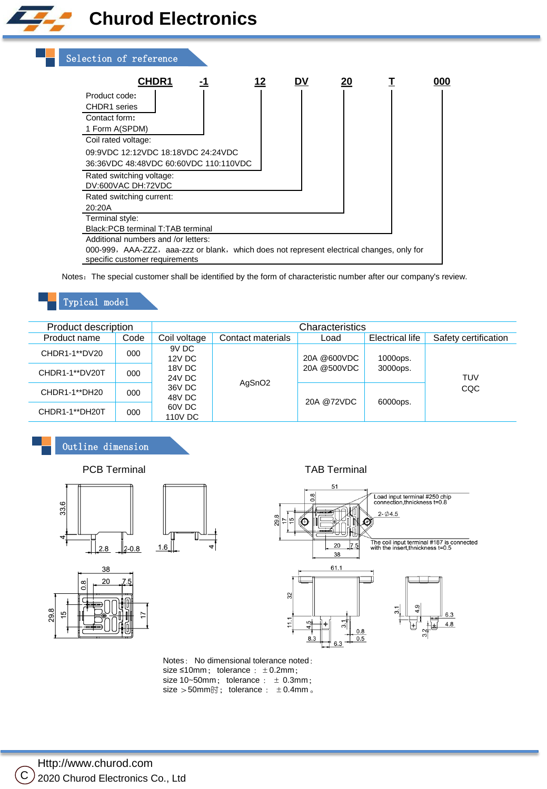



Notes: The special customer shall be identified by the form of characteristic number after our company's review.

# Typical model

| Product description |      | Characteristics         |                    |             |                        |                      |
|---------------------|------|-------------------------|--------------------|-------------|------------------------|----------------------|
| Product name        | Code | Coil voltage            | Contact materials  | Load        | <b>Electrical life</b> | Safety certification |
| CHDR1-1**DV20       | 000  | 9V DC<br><b>12V DC</b>  |                    | 20A @600VDC | 1000ops.               | TUV<br>CQC           |
| CHDR1-1**DV20T      | 000  | 18V DC<br><b>24V DC</b> |                    | 20A @500VDC | 3000ops.               |                      |
| CHDR1-1**DH20       | 000  | 36V DC<br>48V DC        | AgSnO <sub>2</sub> | 20A @72VDC  | 6000ops.               |                      |
| CHDR1-1**DH20T      | 000  | 60V DC<br>110V DC       |                    |             |                        |                      |

# Outline dimension

29.8 15

33.6  $1.6$  $2 - 0.8$  $2.8$ 38

PCB Terminal TAB Terminal



Notes: No dimensional tolerance noted: size  $\leq 10$ mm; tolerance :  $\pm 0.2$ mm; size  $10-50$ mm; tolerance :  $\pm$  0.3mm; size >50mm时; tolerance : ±0.4mm 。